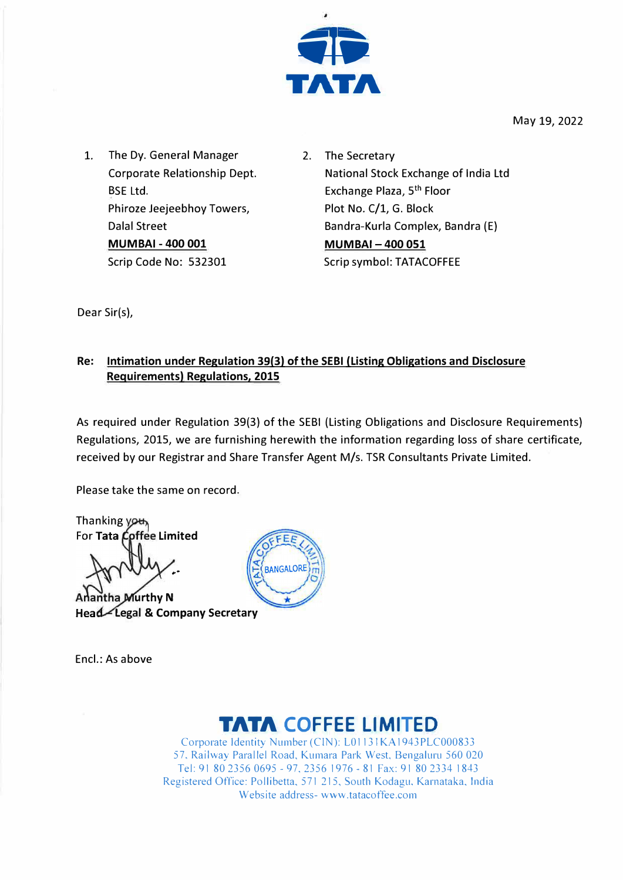

May 19, 2022

- 1. The Dy. General Manager Corporate Relationship Dept. BSE Ltd. Phiroze Jeejeebhoy Towers, Dalal Street **MUMBAI -400 001** Scrip Code No: 532301
- 2. The Secretary National Stock Exchange of India Ltd Exchange Plaza, 5<sup>th</sup> Floor Plot No. C/1, G. Block Bandra-Kurla Complex, Bandra (E) **MUMBAl-400 051** Scrip symbol: TATACOFFEE

Dear Sir(s),

### **Re: Intimation under Regulation 39(3) of the SEBI (Listing Obligations and Disclosure Requirements) Regulations, 2015**

As required under Regulation 39(3) of the SEBI (Listing Obligations and Disclosure Requirements) Regulations, 2015, we are furnishing herewith the information regarding loss of share certificate, received by our Registrar and Share Transfer Agent M/s. TSR Consultants Private Limited.

Please take the same on record.

Thanking you, For Tata Coffee Limited

**A** Adantha *Murthy* N **Legal & Company Secretary** 

Encl.: As above



# **TATA COFFEE LIMITED**

Corporate Identity Number (CIN): LO 1131 KA 1943 PLC000833 57, Railway Parallel Road, Kumara Park West, Bengaluru 560 020 Tel: 91 80 2356 0695 - 97, 2356 1976 - 81 Fax: 91 80 2334 1843 Registered Office: Pollibetta, 571 215, South Kodagu, Karnataka, India Website address- www.tatacoffee.com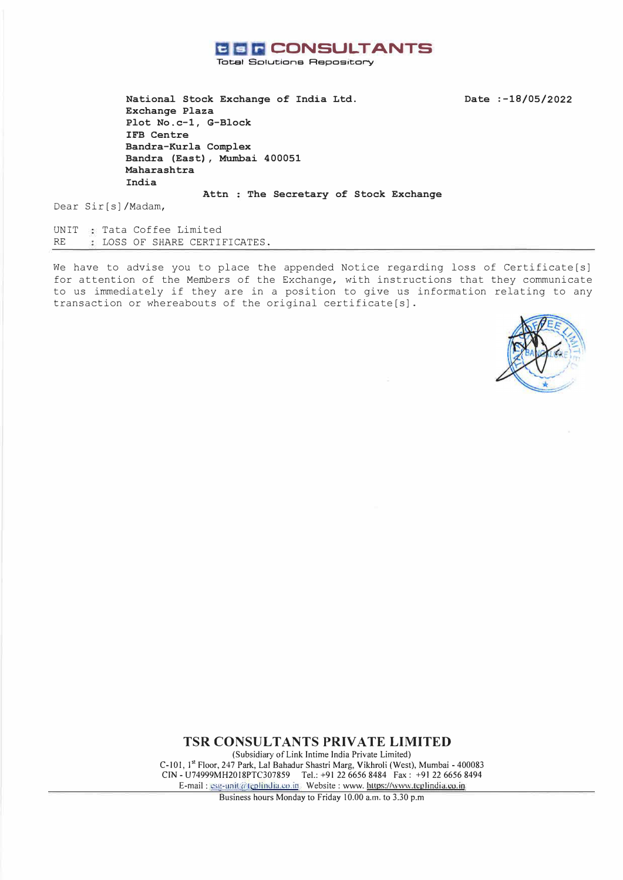

**Total Solutions Aepos,tory** 

**Date :-18/05/2022** 

**National Stock Exchange of India Ltd. Exchange Plaza Plot No.c-1, G-Block IFB Centre Bandra-Kurla Complex Bandra (East), Mumbai 400051 Maharashtra India** 

Attn : The Secretary of Stock Exchange

Dear Sir[s)/Madam,

UNIT Tata Coffee Limited RE LOSS OF SHARE CERTIFICATES.

We have to advise you to place the appended Notice regarding loss of Certificate[s] for attention of the Members of the Exchange, with instructions that they communicate to us immediately if they are in a position to give us information relating to any transaction or whereabouts of the original certificate[s).



**TSR CONSULTANTS PRIVATE LIMITED** 

(Subsidiary of Link Intime India Private Limited) C-101, 1st Floor, 247 Park, Lal Bahadur Shastri Marg, Vikhroli (West), Mumbai - 400083 CIN - U74999MH2018PTC307859 Tel.: +91 22 6656 8484 Fax: +91 22 6656 8494 E-mail : ssg-unit@teplindia.co.in Website : www. https://www.tcplindia.co.in

Business hours Monday to Friday 10.00 a.m. to 3.30 p.m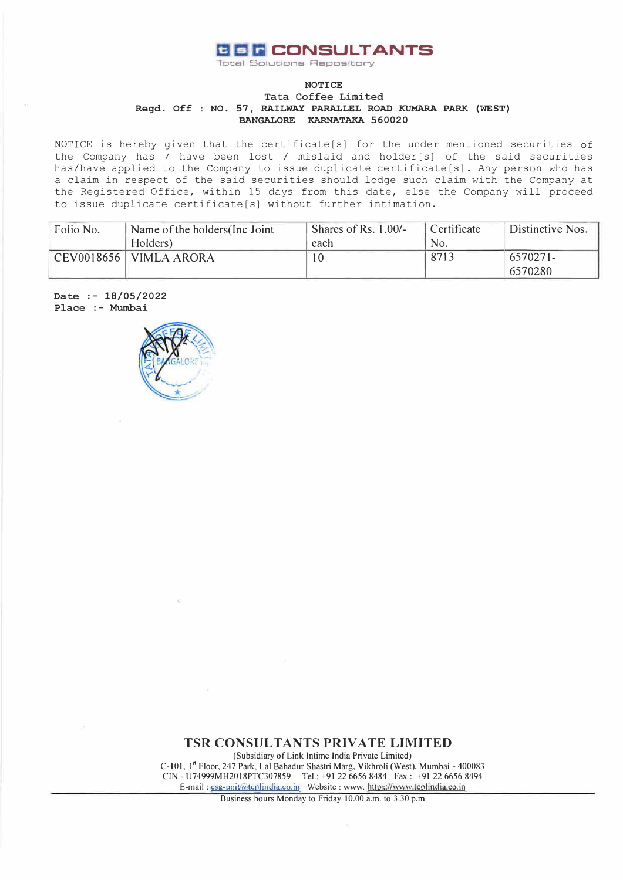

-Total Solutions Repos,tory

#### **Regd. Off NO. 57, RAILWAY PARALLEL ROAD KUMARA PARK (WEST) NOTICE Tata Coffee Limited BANGALORE KARNATAKA 560020**

NOTICE is hereby given that the certificate[s] for the under mentioned securities of the Company has / have been lost / mislaid and holder [s] of the said securities has/have applied to the Company to issue duplicate certificate[s]. Any person who has a claim in respect of the said securities should lodge such claim with the Company at the Registered Office, within 15 days from this date, else the Company will proceed to issue duplicate certificate[s] without further intimation.

| Folio No. | Name of the holders (Inc. Joint | Shares of Rs. 1.00/- | <sup>'</sup> Certificate | Distinctive Nos. |
|-----------|---------------------------------|----------------------|--------------------------|------------------|
|           | Holders)                        | each                 | No.                      |                  |
|           | $CEV0018656$ VIMLA ARORA        | 10                   | 8713                     | $6570271 -$      |
|           |                                 |                      |                          | 6570280          |

**Date :- 18/05/2022 Place :- Mumbai** 



**TSR CONSULTANTS PRIVATE LIMITED**  (Subsidiary of Link Intime India Private Limited) C-101, 1st Floor, 247 Park, Lal Bahadur Shastri Marg, Vikhroli (West), Mumbai - 400083 CIN - U74999MH2018PTC307859 Tel.: +91226656 8484 Fax: +91 22 6656 8494

E-mail: csg-unit@tcplindia.co.in Website: www. https://www.tcplindia.co.in Business hours Monday to Friday 10.00 a.m. to 3.30 p.m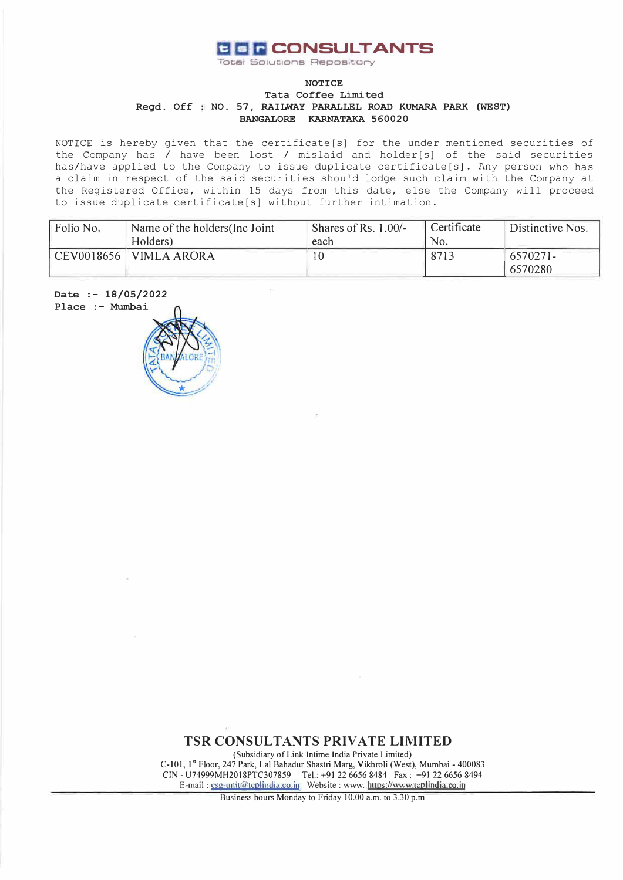

**Total Solutions Repository** 

#### **Regd. Off NO. 57, RAILWAY PARALLEL ROAD KUMARA PARK (WEST) NOTICE Tata Coffee Limited BANGALORE KARNATAKA 560020**

NOTICE is hereby given that the certificate[s] for the under mentioned securities of the Company has I have been lost / mislaid and holder[s] of the said securities has/have applied to the Company to issue duplicate certificate[s]. Any person who has a claim in respect of the said securities should lodge such claim with the Company at the Registered Office, within 15 days from this date, else the Company will proceed to issue duplicate certificate[s] without further intimation.

| Folio No. | Name of the holders (Inc. Joint) | Shares of Rs. 1.00/- | Certificate | Distinctive Nos. |
|-----------|----------------------------------|----------------------|-------------|------------------|
|           | Holders)                         | each                 | No.         |                  |
|           | CEV0018656   VIMLA ARORA         | 10                   | 8713        | $6570271 -$      |
|           |                                  |                      |             | 6570280          |



**TSR CONSULTANTS PRIVATE LIMITED** 

(Subsidiary of Link lntime India Private Limited) C-101, 1st Floor, 247 Park, Lal Bahadur Shastri Marg, Vikhroli (West), Mumbai - 400083 CIN - U74999MH2018PTC307859 Tel.: +91 22 6656 8484 Fax: +91 22 6656 8494 E-mail: csg-unit@teplindia.co.in Website: www. https://www.teplindia.co.in

Business hours Monday to Friday 10.00 a.m. to 3.30 p.m